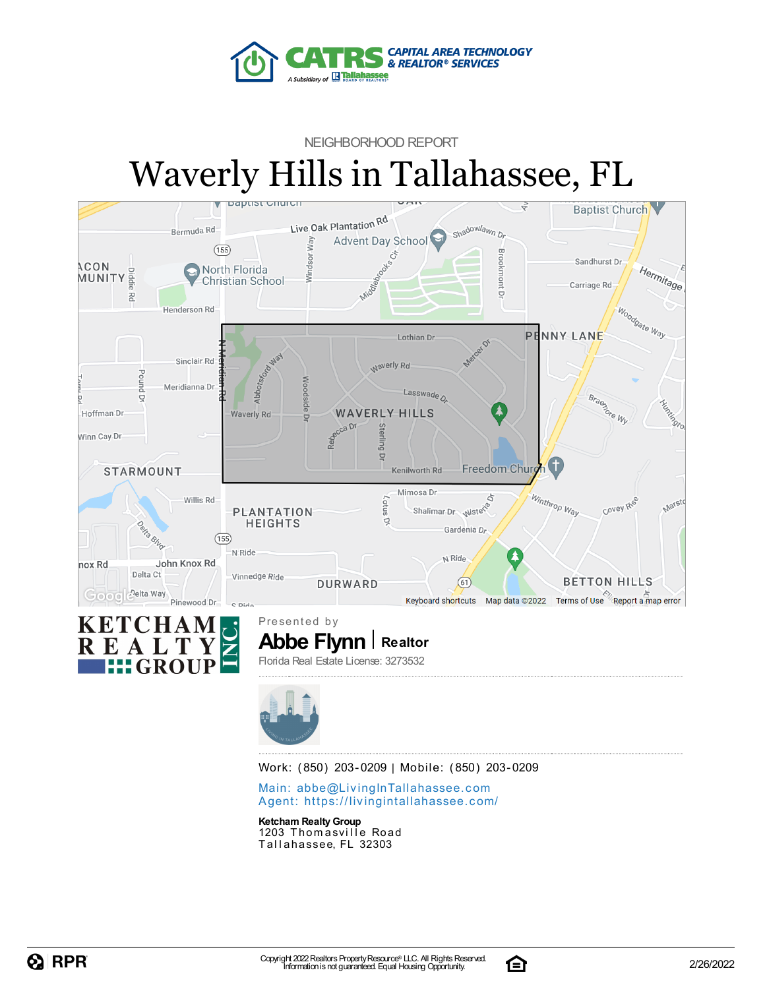

### NEIGHBORHOOD REPORT Waverly Hills in Tallahassee, FL





**Abbe Flynn** | Realtor Presented by Florida Real Estate License: 3273532



Work: (850) 203-0209 | Mobile: (850) 203-0209

Main: abbe@LivingInTallaha[sse](mailto:abbe@LivingInTallahassee.com)e.com Agent: https://livingintallaha[sse](https://livingintallahassee.com/)e.com/

**Ketcham Realty Group** 1203 Thomasville Road Tallahassee, FL 32303

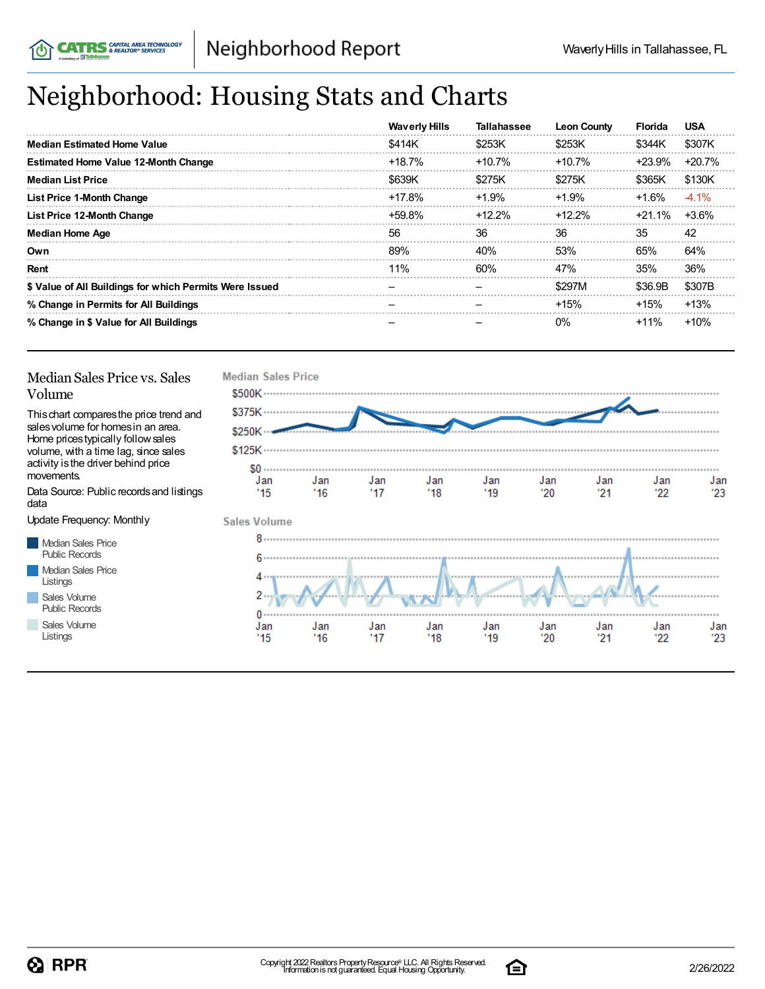## Neighborhood: Housing Stats and Charts

|                                                         | <b>Waverly Hills</b> | <b>Tallahassee</b> | <b>Leon County</b> | <b>Florida</b> | <b>USA</b> |
|---------------------------------------------------------|----------------------|--------------------|--------------------|----------------|------------|
| Median Estimated Home Value                             | \$414K               | \$253K             | \$253K             | \$344K         | \$307K     |
| <b>Estimated Home Value 12-Month Change</b>             | $+18.7%$             | $+10.7%$           | $+10.7%$           | +23.9%         | $+20.7%$   |
| <b>Median List Price</b>                                | \$639K               | \$275K             | \$275K             | \$365K         | \$130K     |
| <b>List Price 1-Month Change</b>                        | $+17.8%$             | $+1.9%$            | $+1.9%$            | +1.6%          | $-4.1\%$   |
| List Price 12-Month Change                              | $+59.8\%$            | +12.2%             | $+12.2%$           | $+21.1\%$      | +3.6%      |
| <b>Median Home Age</b>                                  | 56                   | 36                 | 36                 | 35             | 42         |
| Own                                                     | 89%                  | 40%                | 53%                | 65%            | 64%        |
| Rent                                                    | 11%                  | 60%                | 47%                | 35%            | 36%        |
| \$ Value of All Buildings for which Permits Were Issued |                      |                    | \$297M             | \$36.9B        | \$307B     |
| % Change in Permits for All Buildings                   |                      |                    | $+15%$             | $+15%$         | $+13%$     |
| % Change in \$ Value for All Buildings                  |                      |                    | $0\%$              | $+11\%$        | $+10%$     |

#### Median Sales Price vs. Sales Volume

Thischart comparesthe price trend and salesvolume for homesin an area. Home pricestypically followsales volume, with a time lag, since sales activity is the driver behind price movements.

Data Source: Public recordsand listings data

Update Frequency: Monthly

Median Sales Price Public Records Median Sales Price Listings Sales Volume Public Records

Sales Volume Listings



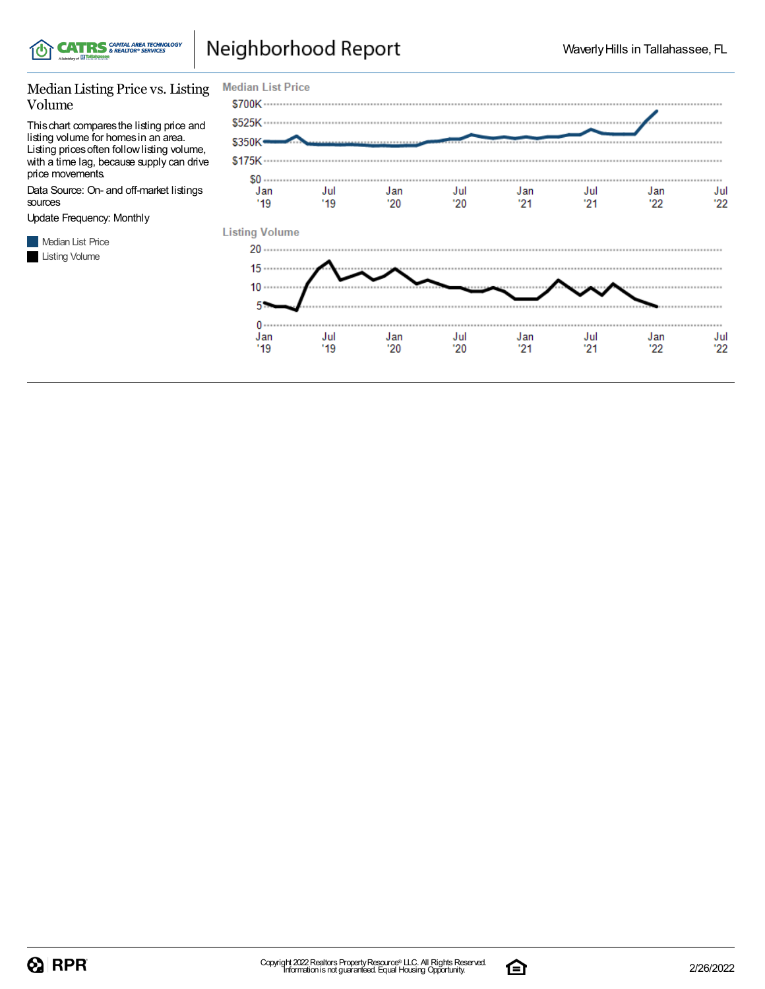

### Neighborhood Report

#### Median Listing Price vs. Listing Volume

Thischart comparesthe listing price and listing volume for homesin an area. Listing pricesoften followlisting volume, with a time lag, because supply can drive price movements.

Data Source: On- and off-market listings sources

Update Frequency: Monthly





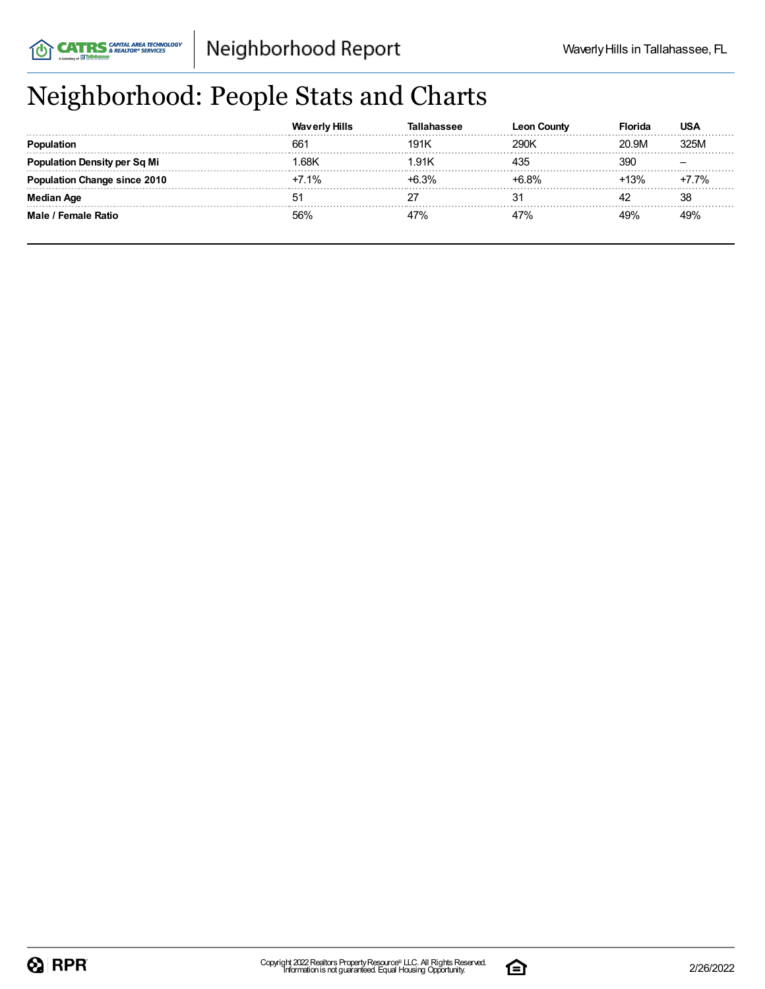# Neighborhood: People Stats and Charts

|                           | <b>Waverly Hills</b> | hassee | ∟eon Countv | Florida | USA  |
|---------------------------|----------------------|--------|-------------|---------|------|
| <b>Population</b>         | 66                   | 191k   | 290K        | 20.9M   | 325M |
| ulation Density per Sq Mi | .68K                 | .91K   | $+35$       | 390     |      |
| าtion Change since 2010   | 7.1%                 | ⊦6.3%  | +6 ጸ%       | $+13%$  | 7.7% |
| Median Age                | 51                   |        |             |         | 38   |
| Male / Female Ratio       |                      |        | 47%         | 19%     | 49%  |

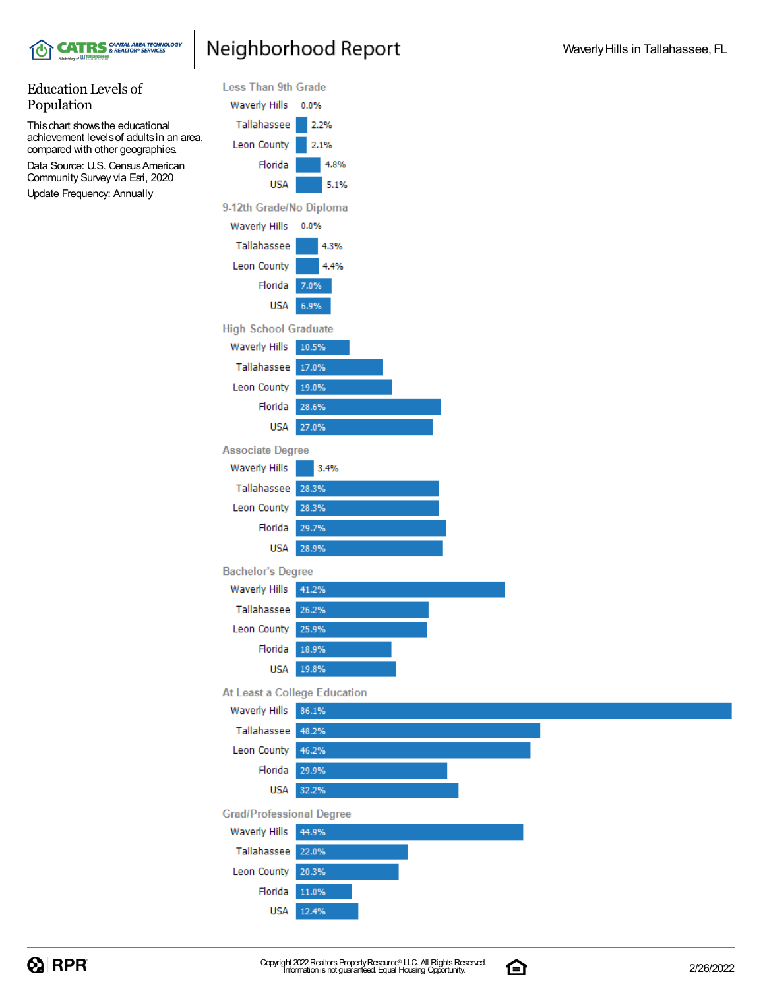

# **CATRS** SAPITAL AREA TECHNOLOGY

#### Education Levels of Population

Thischart showsthe educational achievement levelsof adultsin an area, compared with other geographies. Data Source: U.S. Census American Community Survey via Esri, 2020

Update Frequency: Annually



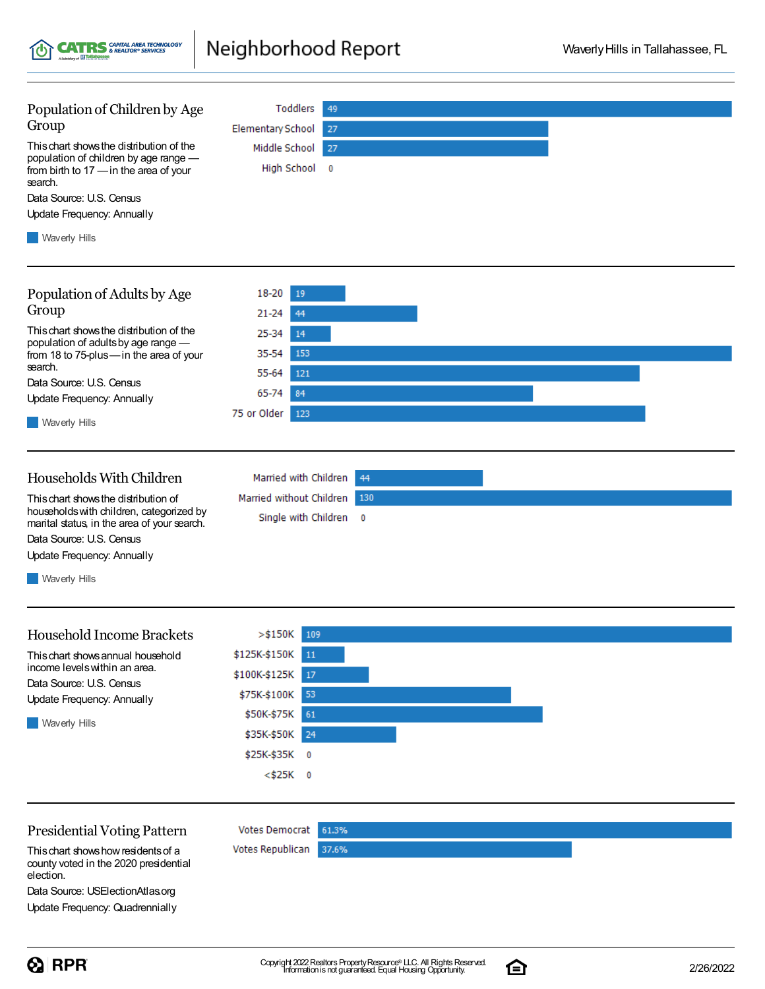Neighborhood Report **CATRS** CAPITAL AREA TECHNOLOGY

 $,$  of  $\mathbb{H}$  is

| Population of Children by Age                                                             | <b>Toddlers</b><br>49                            |  |
|-------------------------------------------------------------------------------------------|--------------------------------------------------|--|
| Group                                                                                     | <b>Elementary School</b><br>27                   |  |
| This chart shows the distribution of the<br>population of children by age range -         | Middle School<br>27                              |  |
| from birth to 17 - in the area of your<br>search.                                         | High School 0                                    |  |
| Data Source: U.S. Census                                                                  |                                                  |  |
| Update Frequency: Annually                                                                |                                                  |  |
| <b>Waverly Hills</b>                                                                      |                                                  |  |
| Population of Adults by Age                                                               | 18-20<br>19                                      |  |
| Group                                                                                     | 21-24<br>44                                      |  |
| This chart shows the distribution of the                                                  |                                                  |  |
| population of adults by age range -                                                       | 25-34<br>14                                      |  |
| from 18 to 75-plus-in the area of your<br>search.                                         | 35-54<br>153                                     |  |
| Data Source: U.S. Census                                                                  | 55-64<br>121                                     |  |
| Update Frequency: Annually                                                                | 65-74<br>84                                      |  |
| <b>Waverly Hills</b>                                                                      | 75 or Older<br>123                               |  |
|                                                                                           |                                                  |  |
| Households With Children                                                                  | Married with Children<br>44                      |  |
| This chart shows the distribution of                                                      | Married without Children<br>130                  |  |
| households with children, categorized by<br>marital status, in the area of your search.   | Single with Children<br>$\overline{\phantom{0}}$ |  |
| Data Source: U.S. Census                                                                  |                                                  |  |
| Update Frequency: Annually                                                                |                                                  |  |
| Waverly Hills                                                                             |                                                  |  |
|                                                                                           |                                                  |  |
| <b>Household Income Brackets</b>                                                          | $>$ \$150K<br>109                                |  |
| This chart shows annual household                                                         | \$125K-\$150K<br><sup>11</sup>                   |  |
| income levels within an area.<br>Data Source: U.S. Census                                 | \$100K-\$125K<br>17                              |  |
| Update Frequency: Annually                                                                | 53<br>\$75K-\$100K                               |  |
|                                                                                           | \$50K-\$75K<br>61                                |  |
| <b>Waverly Hills</b>                                                                      | \$35K-\$50K<br>24                                |  |
|                                                                                           | \$25K-\$35K<br>$\overline{\phantom{0}}$          |  |
|                                                                                           | <\$25K 0                                         |  |
|                                                                                           |                                                  |  |
| <b>Presidential Voting Pattern</b>                                                        | <b>Votes Democrat</b><br>61.3%                   |  |
| This chart shows how residents of a<br>county voted in the 2020 presidential<br>election. | Votes Republican<br>37.6%                        |  |
| Data Source: USElectionAtlas.org                                                          |                                                  |  |
| Update Frequency: Quadrennially                                                           |                                                  |  |

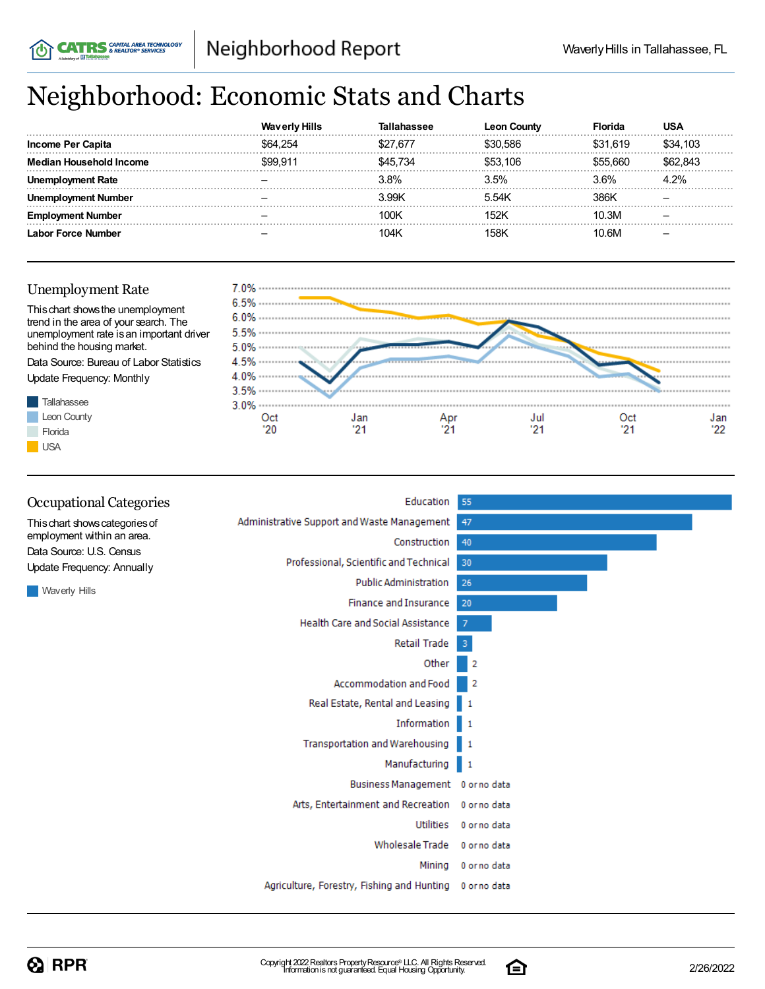# Neighborhood: Economic Stats and Charts

|                         | <b>Waverly Hills</b> |          | <b>Leon County</b> | -lorida  | USA      |
|-------------------------|----------------------|----------|--------------------|----------|----------|
| Income Per Capita       | \$64.254             | \$27.677 | \$30.586           | \$31.619 | \$34,103 |
| <b>Household Income</b> | \$99.91'             | 545.734  | \$53.106           | \$55.660 | 662.843  |
| งIovment Rate           |                      | 3.8%     | 3.5%               | 3.6%     | 4.2%     |
| nent Number             |                      | 3.99K    | 5.54K              | 386K     |          |
| : Number                |                      | 100K     | 152K               | 10.3M    |          |
| Labor Force Number      |                      | 104K     | 158K               | 10 RM    |          |

#### Unemployment Rate

**CATRS** SAPITAL AREA TECHNOLOGY



| <b>Occupational Categories</b>                         | Education                                   | 55                      |
|--------------------------------------------------------|---------------------------------------------|-------------------------|
| This chart shows categories of                         | Administrative Support and Waste Management | 47                      |
| employment within an area.<br>Data Source: U.S. Census | Construction                                | 40                      |
| <b>Update Frequency: Annually</b>                      | Professional, Scientific and Technical      | 30                      |
|                                                        | <b>Public Administration</b>                | 26                      |
| <b>Waverly Hills</b>                                   | Finance and Insurance                       | 20                      |
|                                                        | Health Care and Social Assistance           | 7                       |
|                                                        | Retail Trade                                | $\overline{\mathbf{3}}$ |
|                                                        | Other                                       | 2                       |
|                                                        | Accommodation and Food                      | 2                       |
|                                                        | Real Estate, Rental and Leasing 1           |                         |
|                                                        | Information 1                               |                         |
|                                                        | Transportation and Warehousing              | 1                       |
|                                                        | Manufacturing                               | $\blacksquare$          |
|                                                        | Business Management 0 or no data            |                         |
|                                                        | Arts, Entertainment and Recreation          | 0 or no data            |
|                                                        | Utilities                                   | 0 or no data            |
|                                                        | <b>Wholesale Trade</b>                      | 0 or no data            |
|                                                        | Mining                                      | 0 or no data            |
|                                                        | Agriculture, Forestry, Fishing and Hunting  | 0 or no data            |
|                                                        |                                             |                         |

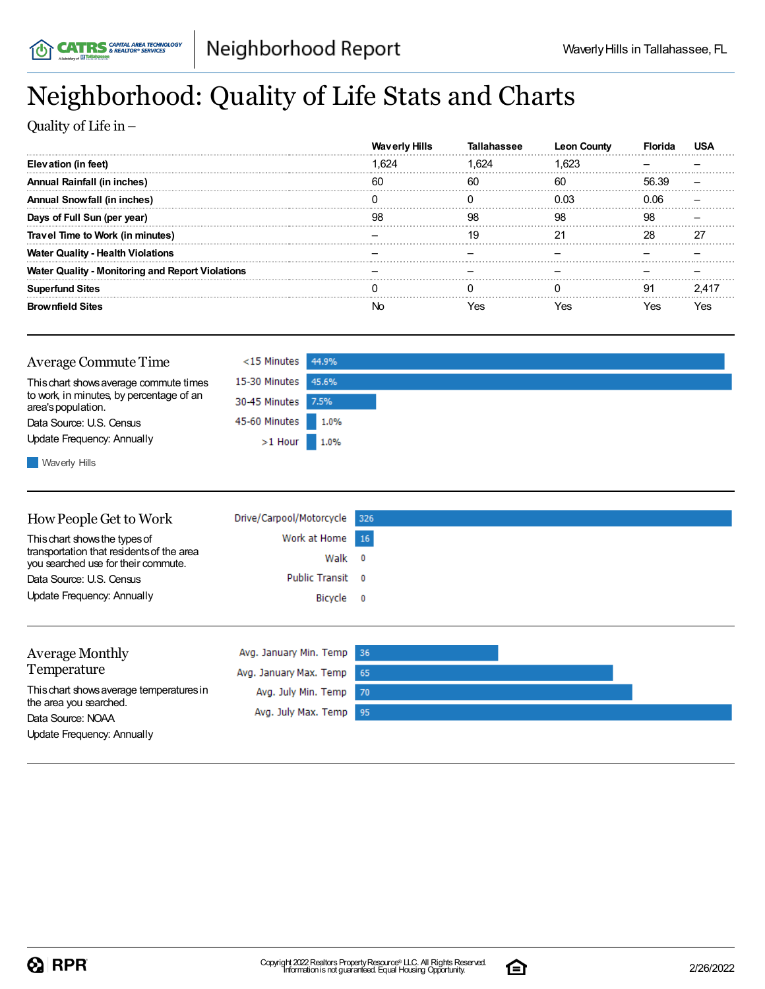# Neighborhood: Quality of Life Stats and Charts

Quality of Life in–

|                                                         | <b>Waverly Hills</b> | lallahassee | County |       |    |
|---------------------------------------------------------|----------------------|-------------|--------|-------|----|
| Elevation (in feet)                                     | 1.624                | 1.624       | 1.623  |       |    |
| <b>Annual Rainfall (in inches)</b>                      | 60                   | 60          | 60     | 56.39 |    |
| <b>Annual Snowfall (in inches)</b>                      |                      |             | 0.03   | 0.06  |    |
| Days of Full Sun (per year)                             | 98                   | 98          | 98     | 98    |    |
| Travel Time to Work (in minutes)                        |                      | 19          |        | 28    | 27 |
| <b>Water Quality - Health Violations</b>                |                      |             |        |       |    |
| <b>Water Quality - Monitoring and Report Violations</b> |                      |             |        |       |    |
| <b>Superfund Sites</b>                                  |                      |             |        | 91    |    |
| <b>Brownfield Sites</b>                                 |                      | ∕ہ⊿         | es.    | 'es   |    |

| <b>Average Commute Time</b>                                                                                                                                                                                                                   | <15 Minutes 44.9%   |  |
|-----------------------------------------------------------------------------------------------------------------------------------------------------------------------------------------------------------------------------------------------|---------------------|--|
| This chart shows average commute times                                                                                                                                                                                                        | 15-30 Minutes 45.6% |  |
| to work, in minutes, by percentage of an<br>area's population.                                                                                                                                                                                | 30-45 Minutes 7.5%  |  |
| Data Source: U.S. Census                                                                                                                                                                                                                      | 45-60 Minutes 1.0%  |  |
| Update Frequency: Annually                                                                                                                                                                                                                    | $>1$ Hour 1.0%      |  |
| $\blacksquare$ . And $\blacksquare$ . The set of the set of the set of the set of the set of the set of the set of the set of the set of the set of the set of the set of the set of the set of the set of the set of the set of the set of t |                     |  |

**N**Waverly Hills

| How People Get to Work<br>This chart shows the types of<br>transportation that residents of the area<br>you searched use for their commute.<br>Data Source: U.S. Census | Drive/Carpool/Motorcycle<br>Work at Home<br>Walk<br><b>Public Transit</b> | 326<br>16<br>0<br>$^{\circ}$ |  |
|-------------------------------------------------------------------------------------------------------------------------------------------------------------------------|---------------------------------------------------------------------------|------------------------------|--|
| Update Frequency: Annually                                                                                                                                              | Bicycle                                                                   | $\overline{\mathbf{0}}$      |  |
| <b>Average Monthly</b><br>Temperature                                                                                                                                   | Avg. January Min. Temp<br>Avg. January Max. Temp                          | -36<br>65                    |  |
| This chart shows average temperatures in<br>the area you searched.<br>Data Source: NOAA<br>Update Frequency: Annually                                                   | Avg. July Min. Temp<br>Avg. July Max. Temp                                | 70<br>95                     |  |

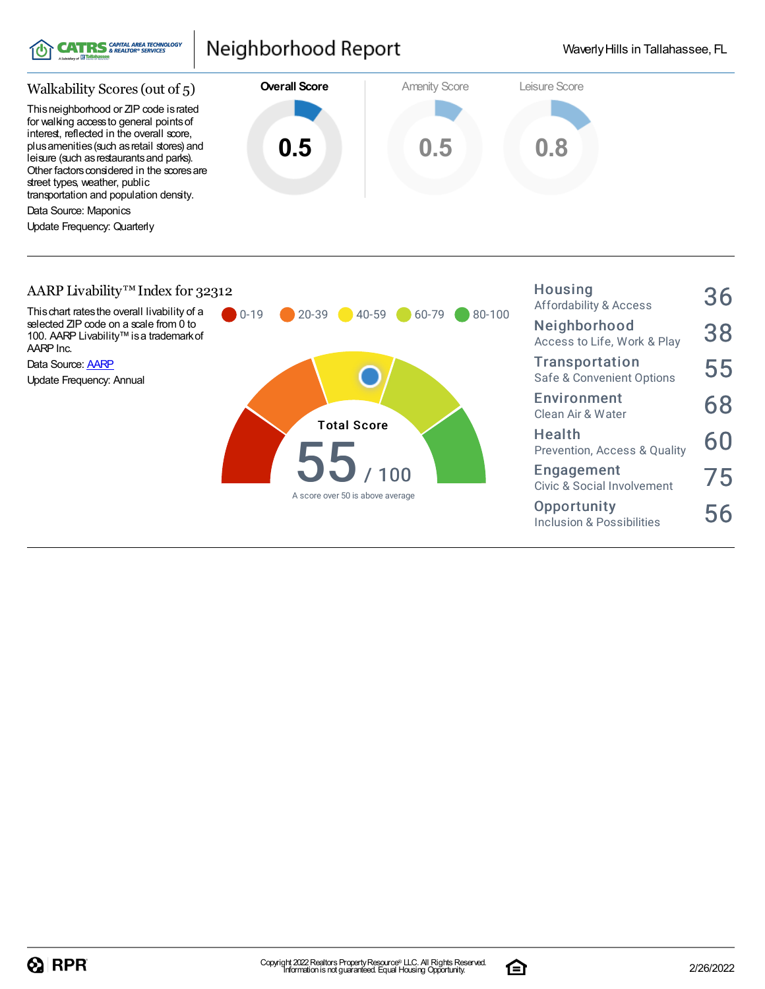

#### Neighborhood Report